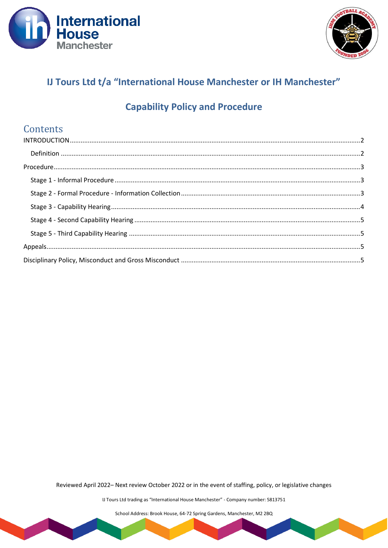



# IJ Tours Ltd t/a "International House Manchester or IH Manchester"

# **Capability Policy and Procedure**

## Contents

Reviewed April 2022- Next review October 2022 or in the event of staffing, policy, or legislative changes

IJ Tours Ltd trading as "International House Manchester" - Company number: 5813751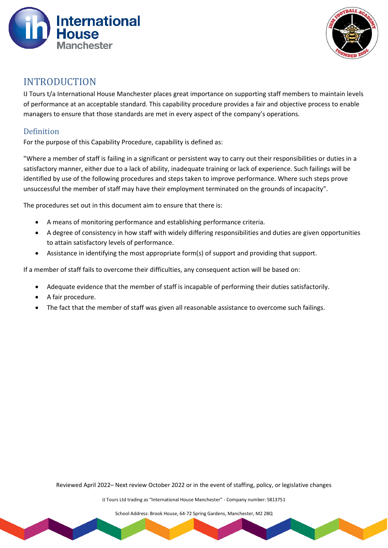



### <span id="page-1-0"></span>INTRODUCTION

IJ Tours t/a International House Manchester places great importance on supporting staff members to maintain levels of performance at an acceptable standard. This capability procedure provides a fair and objective process to enable managers to ensure that those standards are met in every aspect of the company's operations.

### <span id="page-1-1"></span>Definition

For the purpose of this Capability Procedure, capability is defined as:

"Where a member of staff is failing in a significant or persistent way to carry out their responsibilities or duties in a satisfactory manner, either due to a lack of ability, inadequate training or lack of experience. Such failings will be identified by use of the following procedures and steps taken to improve performance. Where such steps prove unsuccessful the member of staff may have their employment terminated on the grounds of incapacity".

The procedures set out in this document aim to ensure that there is:

- A means of monitoring performance and establishing performance criteria.
- A degree of consistency in how staff with widely differing responsibilities and duties are given opportunities to attain satisfactory levels of performance.
- Assistance in identifying the most appropriate form(s) of support and providing that support.

If a member of staff fails to overcome their difficulties, any consequent action will be based on:

- Adequate evidence that the member of staff is incapable of performing their duties satisfactorily.
- A fair procedure.
- The fact that the member of staff was given all reasonable assistance to overcome such failings.

Reviewed April 2022– Next review October 2022 or in the event of staffing, policy, or legislative changes

IJ Tours Ltd trading as "International House Manchester" - Company number: 5813751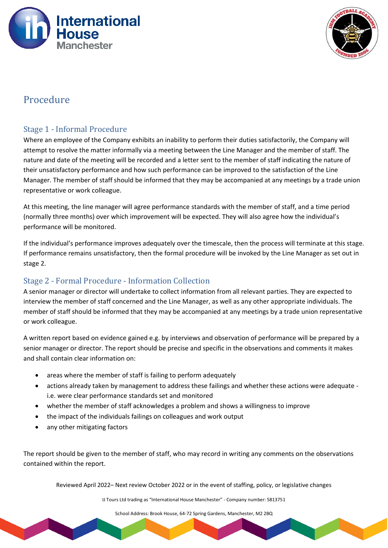



## <span id="page-2-0"></span>Procedure

### <span id="page-2-1"></span>Stage 1 - Informal Procedure

Where an employee of the Company exhibits an inability to perform their duties satisfactorily, the Company will attempt to resolve the matter informally via a meeting between the Line Manager and the member of staff. The nature and date of the meeting will be recorded and a letter sent to the member of staff indicating the nature of their unsatisfactory performance and how such performance can be improved to the satisfaction of the Line Manager. The member of staff should be informed that they may be accompanied at any meetings by a trade union representative or work colleague.

At this meeting, the line manager will agree performance standards with the member of staff, and a time period (normally three months) over which improvement will be expected. They will also agree how the individual's performance will be monitored.

If the individual's performance improves adequately over the timescale, then the process will terminate at this stage. If performance remains unsatisfactory, then the formal procedure will be invoked by the Line Manager as set out in stage 2.

### <span id="page-2-2"></span>Stage 2 - Formal Procedure - Information Collection

A senior manager or director will undertake to collect information from all relevant parties. They are expected to interview the member of staff concerned and the Line Manager, as well as any other appropriate individuals. The member of staff should be informed that they may be accompanied at any meetings by a trade union representative or work colleague.

A written report based on evidence gained e.g. by interviews and observation of performance will be prepared by a senior manager or director. The report should be precise and specific in the observations and comments it makes and shall contain clear information on:

- areas where the member of staff is failing to perform adequately
- actions already taken by management to address these failings and whether these actions were adequate i.e. were clear performance standards set and monitored
- whether the member of staff acknowledges a problem and shows a willingness to improve
- the impact of the individuals failings on colleagues and work output
- any other mitigating factors

The report should be given to the member of staff, who may record in writing any comments on the observations contained within the report.

Reviewed April 2022– Next review October 2022 or in the event of staffing, policy, or legislative changes

IJ Tours Ltd trading as "International House Manchester" - Company number: 5813751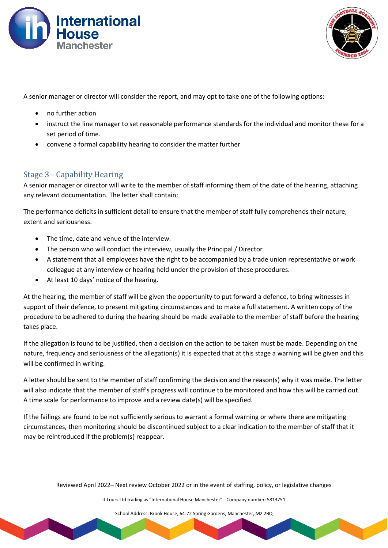



A senior manager or director will consider the report, and may opt to take one of the following options:

- no further action
- instruct the line manager to set reasonable performance standards for the individual and monitor these for a set period of time.
- convene a formal capability hearing to consider the matter further

#### <span id="page-3-0"></span>Stage 3 - Capability Hearing

A senior manager or director will write to the member of staff informing them of the date of the hearing, attaching any relevant documentation. The letter shall contain:

The performance deficits in sufficient detail to ensure that the member of staff fully comprehends their nature, extent and seriousness.

- The time, date and venue of the interview.
- The person who will conduct the interview, usually the Principal / Director
- A statement that all employees have the right to be accompanied by a trade union representative or work colleague at any interview or hearing held under the provision of these procedures.
- At least 10 days' notice of the hearing.

At the hearing, the member of staff will be given the opportunity to put forward a defence, to bring witnesses in support of their defence, to present mitigating circumstances and to make a full statement. A written copy of the procedure to be adhered to during the hearing should be made available to the member of staff before the hearing takes place.

If the allegation is found to be justified, then a decision on the action to be taken must be made. Depending on the nature, frequency and seriousness of the allegation(s) it is expected that at this stage a warning will be given and this will be confirmed in writing.

A letter should be sent to the member of staff confirming the decision and the reason(s) why it was made. The letter will also indicate that the member of staff's progress will continue to be monitored and how this will be carried out. A time scale for performance to improve and a review date(s) will be specified.

If the failings are found to be not sufficiently serious to warrant a formal warning or where there are mitigating circumstances, then monitoring should be discontinued subject to a clear indication to the member of staff that it may be reintroduced if the problem(s) reappear.

Reviewed April 2022– Next review October 2022 or in the event of staffing, policy, or legislative changes

IJ Tours Ltd trading as "International House Manchester" - Company number: 5813751